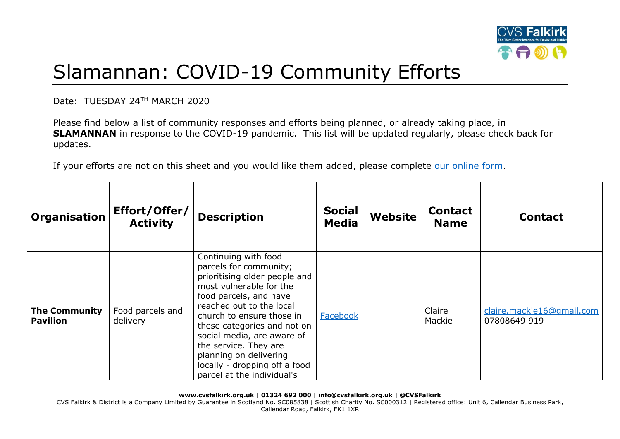

## Slamannan: COVID-19 Community Efforts

Date: TUESDAY 24TH MARCH 2020

Please find below a list of community responses and efforts being planned, or already taking place, in **SLAMANNAN** in response to the COVID-19 pandemic. This list will be updated regularly, please check back for updates.

If your efforts are not on this sheet and you would like them added, please complete [our online form.](https://forms.office.com/Pages/ResponsePage.aspx?id=6VEZaLCW4EefTnjqs1GaupRwm5MIeS1HoQIx_4VQsBJUODFFNjQ4S0YzN0tIODdPOUJWTTJFNkg2QS4u)

| <b>Organisation</b>                     | Effort/Offer/<br><b>Activity</b> | <b>Description</b>                                                                                                                                                                                                                                                                                                                                                           | <b>Social</b><br><b>Media</b> | <b>Website</b> | <b>Contact</b><br><b>Name</b> | <b>Contact</b>                            |
|-----------------------------------------|----------------------------------|------------------------------------------------------------------------------------------------------------------------------------------------------------------------------------------------------------------------------------------------------------------------------------------------------------------------------------------------------------------------------|-------------------------------|----------------|-------------------------------|-------------------------------------------|
| <b>The Community</b><br><b>Pavilion</b> | Food parcels and<br>delivery     | Continuing with food<br>parcels for community;<br>prioritising older people and<br>most vulnerable for the<br>food parcels, and have<br>reached out to the local<br>church to ensure those in<br>these categories and not on<br>social media, are aware of<br>the service. They are<br>planning on delivering<br>locally - dropping off a food<br>parcel at the individual's | Facebook                      |                | Claire<br>Mackie              | claire.mackie16@gmail.com<br>07808649 919 |

**www.cvsfalkirk.org.uk | 01324 692 000 | info@cvsfalkirk.org.uk | @CVSFalkirk**

CVS Falkirk & District is a Company Limited by Guarantee in Scotland No. SC085838 | Scottish Charity No. SC000312 | Registered office: Unit 6, Callendar Business Park, Callendar Road, Falkirk, FK1 1XR